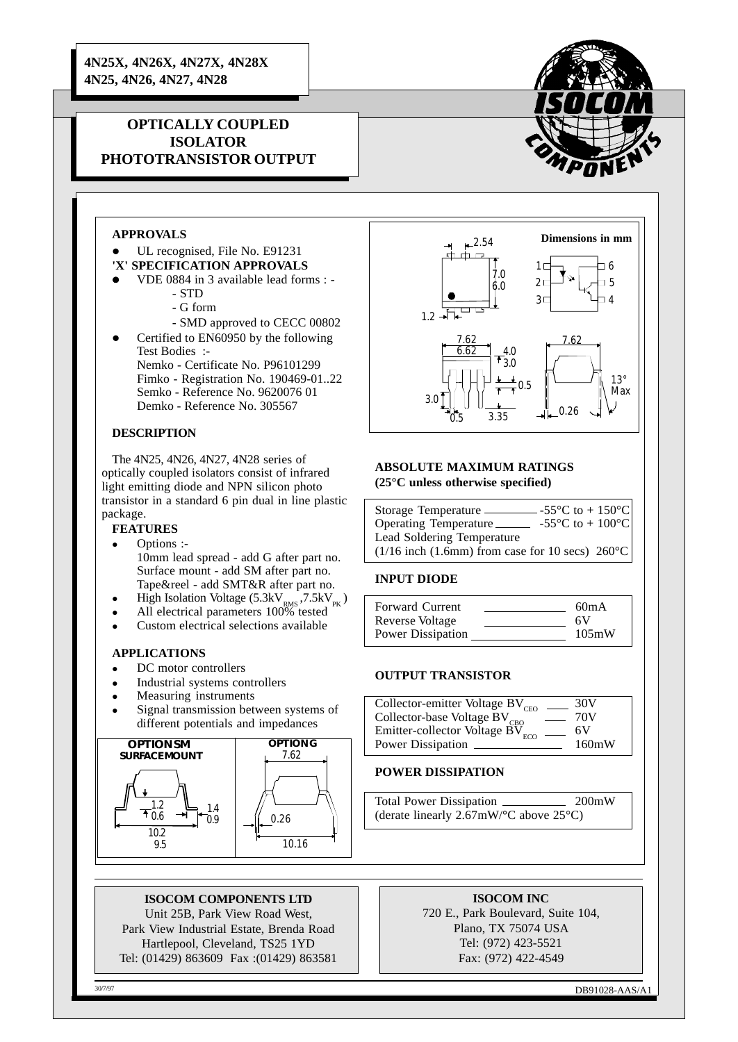**4N25X, 4N26X, 4N27X, 4N28X 4N25, 4N26, 4N27, 4N28**

# **OPTICALLY COUPLED ISOLATOR PHOTOTRANSISTOR OUTPUT**



## **APPROVALS**

- UL recognised, File No. E91231 **'X' SPECIFICATION APPROVALS**
- l VDE 0884 in 3 available lead forms :
	- STD
	- G form
	- SMD approved to CECC 00802
- Certified to EN60950 by the following Test Bodies :- Nemko - Certificate No. P96101299 Fimko - Registration No. 190469-01..22 Semko - Reference No. 9620076 01 Demko - Reference No. 305567

### **DESCRIPTION**

The 4N25, 4N26, 4N27, 4N28 series of optically coupled isolators consist of infrared light emitting diode and NPN silicon photo transistor in a standard 6 pin dual in line plastic package.

# **FEATURES**

- Options :-10mm lead spread - add G after part no. Surface mount - add SM after part no. Tape&reel - add SMT&R after part no.
- High Isolation Voltage (5.3kV<sub>PK</sub>, 7.5kV<sub>PK</sub>)
- $\bullet$  All electrical parameters  $100\%$  tested
- $\bullet$  Custom electrical selections available

### **APPLICATIONS**

- DC motor controllers
- Industrial systems controllers
- Measuring instruments
- Signal transmission between systems of different potentials and impedances



### **ISOCOM COMPONENTS LTD**

Unit 25B, Park View Road West, Park View Industrial Estate, Brenda Road Hartlepool, Cleveland, TS25 1YD Tel: (01429) 863609 Fax :(01429) 863581



#### **ABSOLUTE MAXIMUM RATINGS (25°C unless otherwise specified)**

| Storage Temperature.                                        | -55 $\mathrm{^{\circ}C}$ to + 150 $\mathrm{^{\circ}C}$ |  |
|-------------------------------------------------------------|--------------------------------------------------------|--|
| Operating Temperature                                       | -55 $^{\circ}$ C to + 100 $^{\circ}$ C                 |  |
| Lead Soldering Temperature                                  |                                                        |  |
| $(1/16$ inch (1.6mm) from case for 10 secs) $260^{\circ}$ C |                                                        |  |

### **INPUT DIODE**

| Forward Current<br>Reverse Voltage | 60mA<br>6V |
|------------------------------------|------------|
| Power Dissipation                  | 105mW      |

#### **OUTPUT TRANSISTOR**

| Collector-emitter Voltage BV <sub>CEO</sub> | 30V   |
|---------------------------------------------|-------|
| Collector-base Voltage BV <sub>CBO</sub>    | 70V   |
| Emitter-collector Voltage $BV_{ECO}$        | 6V    |
| Power Dissipation                           | 160mW |

#### **POWER DISSIPATION**

Total Power Dissipation 200mW (derate linearly 2.67mW/**°**C above 25°C)

### **ISOCOM INC**

720 E., Park Boulevard, Suite 104, Plano, TX 75074 USA Tel: (972) 423-5521 Fax: (972) 422-4549

30/7/97 DB91028-AAS/A1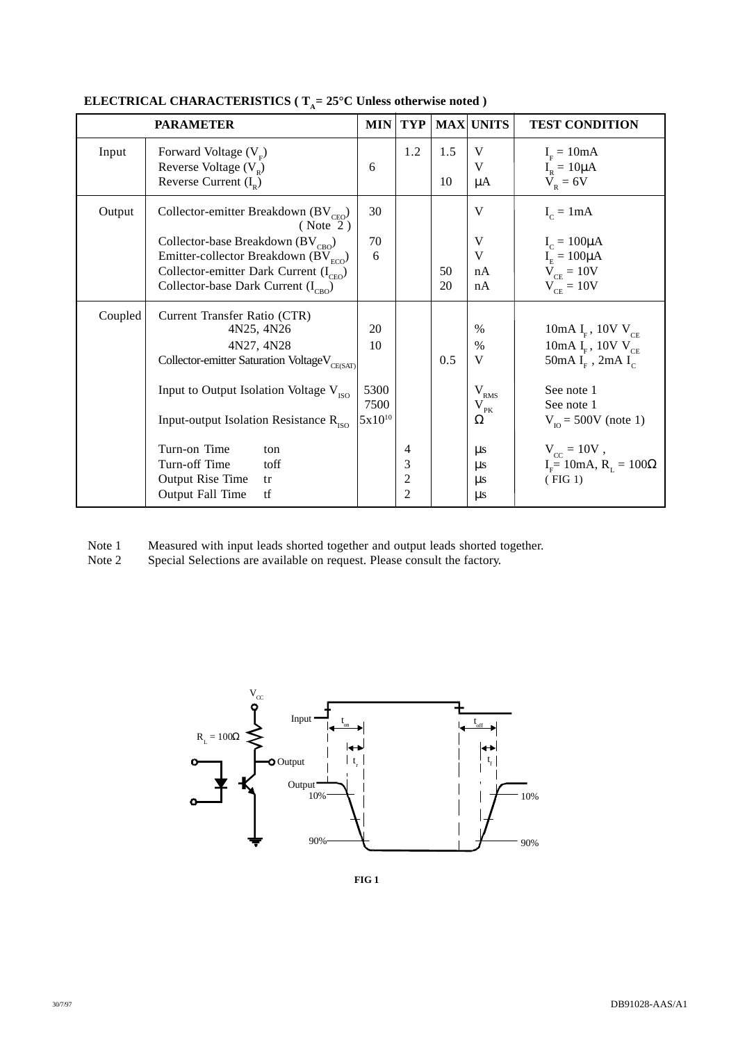|         | <b>PARAMETER</b>                                                                                                                                                                                                                                                                                                                            | <b>MIN</b>                              | <b>TYP</b>                                 |           | <b>MAX UNITS</b>                                                                                        | <b>TEST CONDITION</b>                                                                                                                                                                                                               |
|---------|---------------------------------------------------------------------------------------------------------------------------------------------------------------------------------------------------------------------------------------------------------------------------------------------------------------------------------------------|-----------------------------------------|--------------------------------------------|-----------|---------------------------------------------------------------------------------------------------------|-------------------------------------------------------------------------------------------------------------------------------------------------------------------------------------------------------------------------------------|
| Input   | Forward Voltage $(VF)$<br>Reverse Voltage $(V_p)$<br>Reverse Current $(I_p)$                                                                                                                                                                                                                                                                | 6                                       | 1.2                                        | 1.5<br>10 | V<br>V<br>$\mu A$                                                                                       | $IF = 10mA$<br>$I_R = 10 \mu A$<br>$V_R = 6V$                                                                                                                                                                                       |
| Output  | Collector-emitter Breakdown (BV <sub>CEO</sub> )<br>(Note 2)<br>Collector-base Breakdown (BV <sub>CBO</sub> )<br>Emitter-collector Breakdown (BV $_{\text{ECO}}$ )<br>Collector-emitter Dark Current $(I_{CEO})$<br>Collector-base Dark Current $(I_{CBO})$                                                                                 | 30<br>70<br>6                           |                                            | 50<br>20  | V<br>V<br>V<br>nA<br>nA                                                                                 | $I_c = 1mA$<br>$I_c = 100\mu A$<br>$I_E = 100\mu A$<br>$V_{CE} = 10V$<br>$V_{CF} = 10V$                                                                                                                                             |
| Coupled | Current Transfer Ratio (CTR)<br>4N25, 4N26<br>4N27, 4N28<br>Collector-emitter Saturation VoltageV <sub>CE(SAT)</sub><br>Input to Output Isolation Voltage $V_{\text{ISO}}$<br>Input-output Isolation Resistance $R_{\text{ISO}}$<br>Turn-on Time<br>ton<br>Turn-off Time<br>toff<br><b>Output Rise Time</b><br>tr<br>Output Fall Time<br>tf | 20<br>10<br>5300<br>7500<br>$5x10^{10}$ | 4<br>3<br>$\overline{c}$<br>$\overline{2}$ | 0.5       | $\%$<br>%<br>V<br>$\rm V_{\rm RMS}$<br>$\rm V_{_{PK}}$<br>Ω<br>$\mu$ s<br>$\mu$ s<br>$\mu$ s<br>$\mu s$ | 10mA I <sub>F</sub> , 10V V <sub>CE</sub><br>10mA $I_F$ , 10V $V_{CE}$<br>50mA $IF$ , 2mA $IC$<br>See note 1<br>See note 1<br>$V_{\text{no}} = 500V$ (note 1)<br>$V_{cc} = 10V$ ,<br>$IF = 10$ mA, R <sub>L</sub> = 100Ω<br>(FIG 1) |

# **ELECTRICAL CHARACTERISTICS** (  $T_A = 25^{\circ}$ C Unless otherwise noted )

Note 1 Measured with input leads shorted together and output leads shorted together.

Note 2 Special Selections are available on request. Please consult the factory.



**FIG 1**